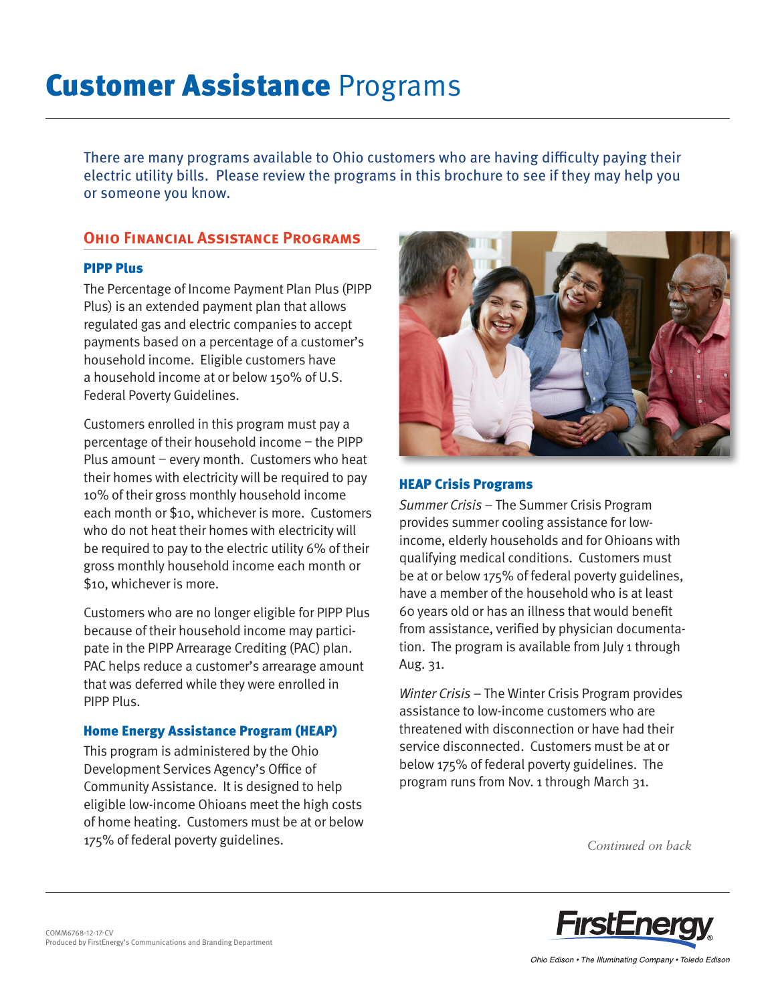# **Customer Assistance Programs**

There are many programs available to Ohio customers who are having difficulty paying their electric utility bills. Please review the programs in this brochure to see if they may help you or someone you know.

## **Ohio Financial Assistance Programs**

#### PIPP Plus

The Percentage of Income Payment Plan Plus (PIPP Plus) is an extended payment plan that allows regulated gas and electric companies to accept payments based on a percentage of a customer's household income. Eligible customers have a household income at or below 150% of U.S. Federal Poverty Guidelines.

Customers enrolled in this program must pay a percentage of their household income – the PIPP Plus amount – every month. Customers who heat their homes with electricity will be required to pay 10% of their gross monthly household income each month or \$10, whichever is more. Customers who do not heat their homes with electricity will be required to pay to the electric utility 6% of their gross monthly household income each month or \$10, whichever is more.

Customers who are no longer eligible for PIPP Plus because of their household income may participate in the PIPP Arrearage Crediting (PAC) plan. PAC helps reduce a customer's arrearage amount that was deferred while they were enrolled in PIPP Plus.

#### Home Energy Assistance Program (HEAP)

This program is administered by the Ohio Development Services Agency's Office of Community Assistance. It is designed to help eligible low-income Ohioans meet the high costs of home heating. Customers must be at or below 175% of federal poverty guidelines.



#### HEAP Crisis Programs

Summer Crisis – The Summer Crisis Program provides summer cooling assistance for lowincome, elderly households and for Ohioans with qualifying medical conditions. Customers must be at or below 175% of federal poverty guidelines, have a member of the household who is at least 60 years old or has an illness that would benefit from assistance, verified by physician documentation. The program is available from July 1 through Aug. 31.

Winter Crisis – The Winter Crisis Program provides assistance to low-income customers who are threatened with disconnection or have had their service disconnected. Customers must be at or below 175% of federal poverty guidelines. The program runs from Nov. 1 through March 31.

*Continued on back*